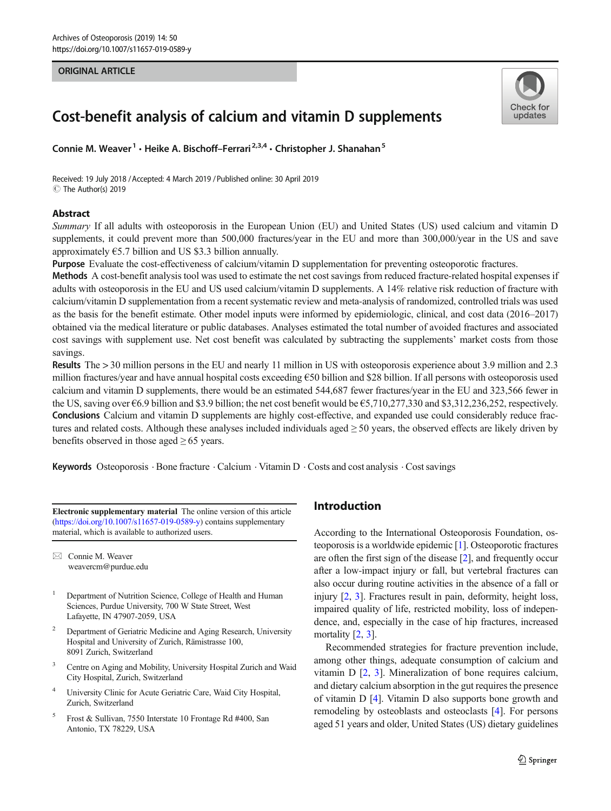## ORIGINAL ARTICLE



# Cost-benefit analysis of calcium and vitamin D supplements

Connie M. Weaver<sup>1</sup> · Heike A. Bischoff–Ferrari<sup>2,3,4</sup> · Christopher J. Shanahan<sup>5</sup>

Received: 19 July 2018 /Accepted: 4 March 2019 /Published online: 30 April 2019 C The Author(s) 2019

## Abstract

Summary If all adults with osteoporosis in the European Union (EU) and United States (US) used calcium and vitamin D supplements, it could prevent more than 500,000 fractures/year in the EU and more than 300,000/year in the US and save approximately  $\epsilon$ 5.7 billion and US \$3.3 billion annually.

Purpose Evaluate the cost-effectiveness of calcium/vitamin D supplementation for preventing osteoporotic fractures.

Methods A cost-benefit analysis tool was used to estimate the net cost savings from reduced fracture-related hospital expenses if adults with osteoporosis in the EU and US used calcium/vitamin D supplements. A 14% relative risk reduction of fracture with calcium/vitamin D supplementation from a recent systematic review and meta-analysis of randomized, controlled trials was used as the basis for the benefit estimate. Other model inputs were informed by epidemiologic, clinical, and cost data (2016–2017) obtained via the medical literature or public databases. Analyses estimated the total number of avoided fractures and associated cost savings with supplement use. Net cost benefit was calculated by subtracting the supplements' market costs from those savings.

Results The > 30 million persons in the EU and nearly 11 million in US with osteoporosis experience about 3.9 million and 2.3 million fractures/year and have annual hospital costs exceeding €50 billion and \$28 billion. If all persons with osteoporosis used calcium and vitamin D supplements, there would be an estimated 544,687 fewer fractures/year in the EU and 323,566 fewer in the US, saving over €6.9 billion and \$3.9 billion; the net cost benefit would be €5,710,277,330 and \$3,312,236,252, respectively. Conclusions Calcium and vitamin D supplements are highly cost-effective, and expanded use could considerably reduce fractures and related costs. Although these analyses included individuals aged  $\geq$  50 years, the observed effects are likely driven by benefits observed in those aged  $\geq 65$  years.

Keywords Osteoporosis . Bone fracture . Calcium . Vitamin D . Costs and cost analysis . Cost savings

Electronic supplementary material The online version of this article (<https://doi.org/10.1007/s11657-019-0589-y>) contains supplementary material, which is available to authorized users.

 $\boxtimes$  Connie M. Weaver [weavercm@purdue.edu](mailto:weavercm@purdue.edu)

- <sup>1</sup> Department of Nutrition Science, College of Health and Human Sciences, Purdue University, 700 W State Street, West Lafayette, IN 47907-2059, USA
- <sup>2</sup> Department of Geriatric Medicine and Aging Research, University Hospital and University of Zurich, Rämistrasse 100, 8091 Zurich, Switzerland
- <sup>3</sup> Centre on Aging and Mobility, University Hospital Zurich and Waid City Hospital, Zurich, Switzerland
- <sup>4</sup> University Clinic for Acute Geriatric Care, Waid City Hospital, Zurich, Switzerland
- <sup>5</sup> Frost & Sullivan, 7550 Interstate 10 Frontage Rd #400, San Antonio, TX 78229, USA

# Introduction

According to the International Osteoporosis Foundation, osteoporosis is a worldwide epidemic [\[1](#page-10-0)]. Osteoporotic fractures are often the first sign of the disease [\[2](#page-10-0)], and frequently occur after a low-impact injury or fall, but vertebral fractures can also occur during routine activities in the absence of a fall or injury [[2](#page-10-0), [3\]](#page-10-0). Fractures result in pain, deformity, height loss, impaired quality of life, restricted mobility, loss of independence, and, especially in the case of hip fractures, increased mortality [\[2](#page-10-0), [3\]](#page-10-0).

Recommended strategies for fracture prevention include, among other things, adequate consumption of calcium and vitamin D [[2,](#page-10-0) [3](#page-10-0)]. Mineralization of bone requires calcium, and dietary calcium absorption in the gut requires the presence of vitamin D [[4\]](#page-10-0). Vitamin D also supports bone growth and remodeling by osteoblasts and osteoclasts [\[4](#page-10-0)]. For persons aged 51 years and older, United States (US) dietary guidelines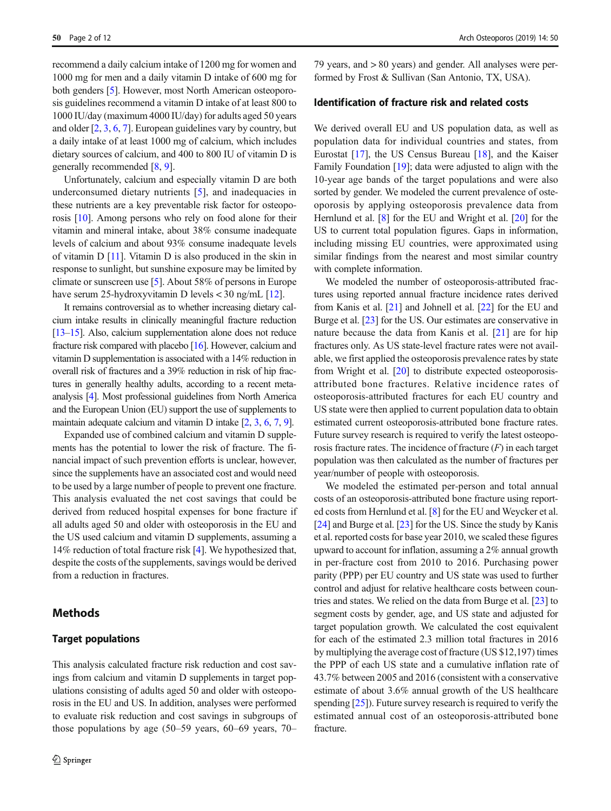recommend a daily calcium intake of 1200 mg for women and 1000 mg for men and a daily vitamin D intake of 600 mg for both genders [[5\]](#page-10-0). However, most North American osteoporosis guidelines recommend a vitamin D intake of at least 800 to 1000 IU/day (maximum 4000 IU/day) for adults aged 50 years and older [[2,](#page-10-0) [3,](#page-10-0) [6](#page-10-0), [7](#page-10-0)]. European guidelines vary by country, but a daily intake of at least 1000 mg of calcium, which includes dietary sources of calcium, and 400 to 800 IU of vitamin D is generally recommended [\[8](#page-10-0), [9](#page-10-0)].

Unfortunately, calcium and especially vitamin D are both underconsumed dietary nutrients [\[5\]](#page-10-0), and inadequacies in these nutrients are a key preventable risk factor for osteoporosis [[10](#page-10-0)]. Among persons who rely on food alone for their vitamin and mineral intake, about 38% consume inadequate levels of calcium and about 93% consume inadequate levels of vitamin D [[11](#page-10-0)]. Vitamin D is also produced in the skin in response to sunlight, but sunshine exposure may be limited by climate or sunscreen use [\[5](#page-10-0)]. About 58% of persons in Europe have serum 25-hydroxyvitamin D levels < 30 ng/mL [\[12](#page-10-0)].

It remains controversial as to whether increasing dietary calcium intake results in clinically meaningful fracture reduction [\[13](#page-10-0)–[15\]](#page-10-0). Also, calcium supplementation alone does not reduce fracture risk compared with placebo [\[16](#page-10-0)]. However, calcium and vitamin D supplementation is associated with a 14% reduction in overall risk of fractures and a 39% reduction in risk of hip fractures in generally healthy adults, according to a recent metaanalysis [[4](#page-10-0)]. Most professional guidelines from North America and the European Union (EU) support the use of supplements to maintain adequate calcium and vitamin D intake [\[2,](#page-10-0) [3,](#page-10-0) [6](#page-10-0), [7,](#page-10-0) [9](#page-10-0)].

Expanded use of combined calcium and vitamin D supplements has the potential to lower the risk of fracture. The financial impact of such prevention efforts is unclear, however, since the supplements have an associated cost and would need to be used by a large number of people to prevent one fracture. This analysis evaluated the net cost savings that could be derived from reduced hospital expenses for bone fracture if all adults aged 50 and older with osteoporosis in the EU and the US used calcium and vitamin D supplements, assuming a 14% reduction of total fracture risk [\[4](#page-10-0)]. We hypothesized that, despite the costs of the supplements, savings would be derived from a reduction in fractures.

# Methods

## Target populations

This analysis calculated fracture risk reduction and cost savings from calcium and vitamin D supplements in target populations consisting of adults aged 50 and older with osteoporosis in the EU and US. In addition, analyses were performed to evaluate risk reduction and cost savings in subgroups of those populations by age (50–59 years, 60–69 years, 70– 79 years, and > 80 years) and gender. All analyses were performed by Frost & Sullivan (San Antonio, TX, USA).

## Identification of fracture risk and related costs

We derived overall EU and US population data, as well as population data for individual countries and states, from Eurostat [[17\]](#page-10-0), the US Census Bureau [\[18](#page-10-0)], and the Kaiser Family Foundation [\[19](#page-10-0)]; data were adjusted to align with the 10-year age bands of the target populations and were also sorted by gender. We modeled the current prevalence of osteoporosis by applying osteoporosis prevalence data from Hernlund et al. [[8\]](#page-10-0) for the EU and Wright et al. [[20\]](#page-10-0) for the US to current total population figures. Gaps in information, including missing EU countries, were approximated using similar findings from the nearest and most similar country with complete information.

We modeled the number of osteoporosis-attributed fractures using reported annual fracture incidence rates derived from Kanis et al. [\[21\]](#page-10-0) and Johnell et al. [[22\]](#page-10-0) for the EU and Burge et al. [\[23\]](#page-10-0) for the US. Our estimates are conservative in nature because the data from Kanis et al. [\[21](#page-10-0)] are for hip fractures only. As US state-level fracture rates were not available, we first applied the osteoporosis prevalence rates by state from Wright et al. [\[20](#page-10-0)] to distribute expected osteoporosisattributed bone fractures. Relative incidence rates of osteoporosis-attributed fractures for each EU country and US state were then applied to current population data to obtain estimated current osteoporosis-attributed bone fracture rates. Future survey research is required to verify the latest osteoporosis fracture rates. The incidence of fracture  $(F)$  in each target population was then calculated as the number of fractures per year/number of people with osteoporosis.

We modeled the estimated per-person and total annual costs of an osteoporosis-attributed bone fracture using reported costs from Hernlund et al. [\[8](#page-10-0)] for the EU and Weycker et al. [\[24](#page-10-0)] and Burge et al. [[23\]](#page-10-0) for the US. Since the study by Kanis et al. reported costs for base year 2010, we scaled these figures upward to account for inflation, assuming a 2% annual growth in per-fracture cost from 2010 to 2016. Purchasing power parity (PPP) per EU country and US state was used to further control and adjust for relative healthcare costs between countries and states. We relied on the data from Burge et al. [\[23](#page-10-0)] to segment costs by gender, age, and US state and adjusted for target population growth. We calculated the cost equivalent for each of the estimated 2.3 million total fractures in 2016 by multiplying the average cost of fracture (US \$12,197) times the PPP of each US state and a cumulative inflation rate of 43.7% between 2005 and 2016 (consistent with a conservative estimate of about 3.6% annual growth of the US healthcare spending [\[25](#page-10-0)]). Future survey research is required to verify the estimated annual cost of an osteoporosis-attributed bone fracture.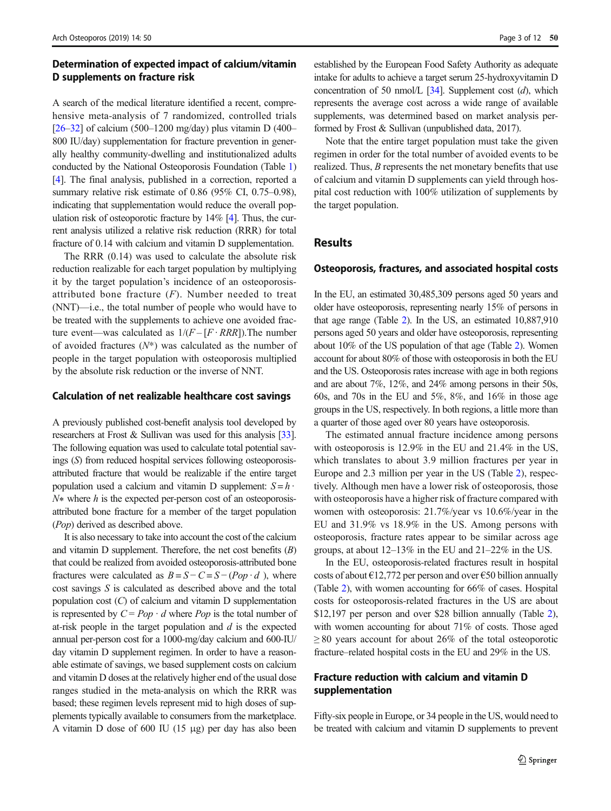# Determination of expected impact of calcium/vitamin D supplements on fracture risk

A search of the medical literature identified a recent, comprehensive meta-analysis of 7 randomized, controlled trials  $[26-32]$  $[26-32]$  $[26-32]$  $[26-32]$  of calcium (500-1200 mg/day) plus vitamin D (400-800 IU/day) supplementation for fracture prevention in generally healthy community-dwelling and institutionalized adults conducted by the National Osteoporosis Foundation (Table [1\)](#page-3-0) [\[4\]](#page-10-0). The final analysis, published in a correction, reported a summary relative risk estimate of 0.86 (95% CI, 0.75–0.98), indicating that supplementation would reduce the overall population risk of osteoporotic fracture by 14% [\[4\]](#page-10-0). Thus, the current analysis utilized a relative risk reduction (RRR) for total fracture of 0.14 with calcium and vitamin D supplementation.

The RRR (0.14) was used to calculate the absolute risk reduction realizable for each target population by multiplying it by the target population's incidence of an osteoporosisattributed bone fracture  $(F)$ . Number needed to treat (NNT)—i.e., the total number of people who would have to be treated with the supplements to achieve one avoided fracture event—was calculated as  $1/(F - [F \cdot RRR])$ . The number of avoided fractures  $(N^*)$  was calculated as the number of people in the target population with osteoporosis multiplied by the absolute risk reduction or the inverse of NNT.

#### Calculation of net realizable healthcare cost savings

A previously published cost-benefit analysis tool developed by researchers at Frost & Sullivan was used for this analysis [\[33\]](#page-11-0). The following equation was used to calculate total potential savings (S) from reduced hospital services following osteoporosisattributed fracture that would be realizable if the entire target population used a calcium and vitamin D supplement:  $S = h \cdot$ N∗ where h is the expected per-person cost of an osteoporosisattributed bone fracture for a member of the target population (Pop) derived as described above.

It is also necessary to take into account the cost of the calcium and vitamin D supplement. Therefore, the net cost benefits  $(B)$ that could be realized from avoided osteoporosis-attributed bone fractures were calculated as  $B = S - C = S - (Pop \cdot d)$ , where cost savings S is calculated as described above and the total population cost (C) of calcium and vitamin D supplementation is represented by  $C = Pop \cdot d$  where Pop is the total number of at-risk people in the target population and  $d$  is the expected annual per-person cost for a 1000-mg/day calcium and 600-IU/ day vitamin D supplement regimen. In order to have a reasonable estimate of savings, we based supplement costs on calcium and vitamin D doses at the relatively higher end of the usual dose ranges studied in the meta-analysis on which the RRR was based; these regimen levels represent mid to high doses of supplements typically available to consumers from the marketplace. A vitamin D dose of 600 IU (15 μg) per day has also been

established by the European Food Safety Authority as adequate intake for adults to achieve a target serum 25-hydroxyvitamin D concentration of 50 nmol/L  $[34]$ . Supplement cost (d), which represents the average cost across a wide range of available supplements, was determined based on market analysis performed by Frost & Sullivan (unpublished data, 2017).

Note that the entire target population must take the given regimen in order for the total number of avoided events to be realized. Thus, B represents the net monetary benefits that use of calcium and vitamin D supplements can yield through hospital cost reduction with 100% utilization of supplements by the target population.

# Results

#### Osteoporosis, fractures, and associated hospital costs

In the EU, an estimated 30,485,309 persons aged 50 years and older have osteoporosis, representing nearly 15% of persons in that age range (Table [2\)](#page-4-0). In the US, an estimated 10,887,910 persons aged 50 years and older have osteoporosis, representing about 10% of the US population of that age (Table [2\)](#page-4-0). Women account for about 80% of those with osteoporosis in both the EU and the US. Osteoporosis rates increase with age in both regions and are about 7%, 12%, and 24% among persons in their 50s, 60s, and 70s in the EU and 5%, 8%, and 16% in those age groups in the US, respectively. In both regions, a little more than a quarter of those aged over 80 years have osteoporosis.

The estimated annual fracture incidence among persons with osteoporosis is 12.9% in the EU and 21.4% in the US, which translates to about 3.9 million fractures per year in Europe and 2.3 million per year in the US (Table [2\)](#page-4-0), respectively. Although men have a lower risk of osteoporosis, those with osteoporosis have a higher risk of fracture compared with women with osteoporosis: 21.7%/year vs 10.6%/year in the EU and 31.9% vs 18.9% in the US. Among persons with osteoporosis, fracture rates appear to be similar across age groups, at about 12–13% in the EU and 21–22% in the US.

In the EU, osteoporosis-related fractures result in hospital costs of about  $\epsilon$ 12,772 per person and over  $\epsilon$ 50 billion annually (Table [2\)](#page-4-0), with women accounting for 66% of cases. Hospital costs for osteoporosis-related fractures in the US are about \$12,197 per person and over \$28 billion annually (Table [2\)](#page-4-0), with women accounting for about 71% of costs. Those aged  $\geq$  80 years account for about 26% of the total osteoporotic fracture–related hospital costs in the EU and 29% in the US.

# Fracture reduction with calcium and vitamin D supplementation

Fifty-six people in Europe, or 34 people in the US, would need to be treated with calcium and vitamin D supplements to prevent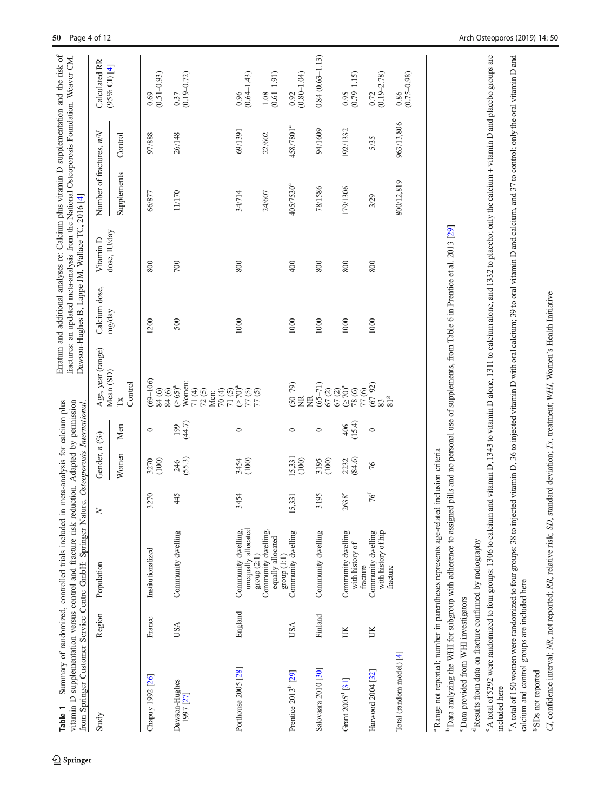<span id="page-3-0"></span>

| Table 1                                                             |         | Summary of randomized, controlled trials included in meta-analysis for calcium plus<br>vitamin D supplementation versus control and fracture risk reduction. Adapted by permission<br>from Springer Customer Service Centre GmbH: Springer Nature, Osteoporosis International. |                 |                      |                 |                                                 | fractures: an updated meta-analysis from the National Osteoporosis Foundation. Weaver CM,<br>Dawson-Hughes B, Lappe JM, Wallace TC, 2016 [4] |                           |                            |            |                                                     |
|---------------------------------------------------------------------|---------|--------------------------------------------------------------------------------------------------------------------------------------------------------------------------------------------------------------------------------------------------------------------------------|-----------------|----------------------|-----------------|-------------------------------------------------|----------------------------------------------------------------------------------------------------------------------------------------------|---------------------------|----------------------------|------------|-----------------------------------------------------|
| Study                                                               | Region  | Population                                                                                                                                                                                                                                                                     |                 | Gender, $n$ (%)      |                 | Age, year (range)<br>Mean (SD)                  | Calcium dose,<br>mg/day                                                                                                                      | dose, IU/day<br>Vitamin D | Number of fractures, $n/N$ |            | Calculated RR<br>$(95\%$ CI) [4]                    |
|                                                                     |         |                                                                                                                                                                                                                                                                                |                 | Women                | Men             | Control<br>$\mathbb{R}$                         |                                                                                                                                              |                           | Supplements                | Control    |                                                     |
| Chapuy 1992 [26]                                                    | France  | Institutionalized                                                                                                                                                                                                                                                              | 3270            | 3270<br>(100)        | $\circ$         | $(69 - 106)$<br>$3300$<br>$350$<br>$250$        | 1200                                                                                                                                         | 800                       | 66/877                     | 97/888     | $\begin{array}{c} 0.69 \\ 0.51 - 0.93) \end{array}$ |
| Dawson-Hughes<br>1997 [27]                                          | USA     | Community dwelling                                                                                                                                                                                                                                                             | 445             | (55.3)<br>246        | (44.7)<br>199   | Women:<br>$71(4)$<br>$72(5)$<br>$70(4)$<br>Men: | 500                                                                                                                                          | 700                       | 11/170                     | 26/148     | $\begin{array}{c} 0.37 \\ 0.19 - 0.72 \end{array}$  |
| Porthouse 2005 [28]                                                 | England | unequally allocated<br>Community dwelling,                                                                                                                                                                                                                                     | 3454            | 3454<br>(100)        | $\circ$         | 7000<br>2000<br>2000                            | 1000                                                                                                                                         | 800                       | 34/714                     | 69/1391    | $\frac{0.96}{(0.64-1.43)}$                          |
|                                                                     |         | Community dwelling,<br>equally allocated<br>group $(2:1)$<br>group $(1:1)$                                                                                                                                                                                                     |                 |                      |                 |                                                 |                                                                                                                                              |                           | 24/607                     | 22/602     | $(0.61 - 1.91)$<br>$1.08\,$                         |
| Prentice 2013 <sup>b</sup> [29]                                     | USA     | Community dwelling                                                                                                                                                                                                                                                             | 5,331           | 15,331<br>(100)      | $\circ$         | $(50 - 79)$<br>ğ<br>ğ                           | 1000                                                                                                                                         | 400                       | 405/7530°                  | 458/7801°  | $(0.80 - 1.04)$<br>0.92                             |
| Salovaara 2010 [30]                                                 | Finland | Community dwelling                                                                                                                                                                                                                                                             | 3195            | (100)<br>3195        | $\circ$         | $(65 - 71)$                                     | 1000                                                                                                                                         | 800                       | 78/1586                    | 94/1609    | $0.84(0.63 - 1.13)$                                 |
| Grant 2005 <sup>d</sup> [31]                                        | UK      | Community dwelling<br>with history of                                                                                                                                                                                                                                          | $2638^e$        | 2232<br>(84.6)       | $406$<br>(15.4) |                                                 | 1000                                                                                                                                         | 800                       | 179/1306                   | 192/1332   | $(0.79 - 1.15)$<br>0.95                             |
| Harwood 2004 [32]                                                   | ŬК      | Community dwelling<br>with history of hip<br>fracture                                                                                                                                                                                                                          | 76 <sup>f</sup> | $\frac{2}{\sqrt{6}}$ | $\circ$         | $\frac{83}{81}$ <sup>g</sup>                    | 1000                                                                                                                                         | 800                       | 3/29                       | 5/35       | $(0.19 - 2.78)$<br>0.72                             |
| Total (random model) [4]                                            |         | fracture                                                                                                                                                                                                                                                                       |                 |                      |                 |                                                 |                                                                                                                                              |                           | 800/12,819                 | 963/13,806 | $(0.75 - 0.98)$<br>0.86                             |
|                                                                     |         | <sup>a</sup> Range not reported; number in parentheses represents age-related inclusion criteria                                                                                                                                                                               |                 |                      |                 |                                                 |                                                                                                                                              |                           |                            |            |                                                     |
| <sup>c</sup> Data provided from WHI investigators                   |         | <sup>b</sup> Data analyzing the WHI for subgroup with adherence to assigned pills and no personal use of supplements, from Table 6 in Prentice et al. 2013 [29]                                                                                                                |                 |                      |                 |                                                 |                                                                                                                                              |                           |                            |            |                                                     |
| <sup>d</sup> Results from data on fracture confirmed by radiography |         |                                                                                                                                                                                                                                                                                |                 |                      |                 |                                                 |                                                                                                                                              |                           |                            |            |                                                     |

<sup>2</sup> Springer

<sup>e</sup> A total of 5292 were randomized to four groups: 1306 to calcium and vitamin D, 1343 to vitamin D alone, 1311 to calcium alone, and 1332 to placebo; only the calcium + vitamin D and placebo groups are  $^{\circ}$ A total of 5292 were randomized to four groups: 1306 to calcium and vitamin D, 1343 to vitamin alone, 1311 to calcium alone, and 1332 to placebo; only the calcium + vitamin D and placebo groups are

<sup>f</sup> A total of 150 women were randomized to four groups: 38 to injected vitamin D, 36 to injected vitamin D with oral calcium; 39 to oral vitamin D and calcium, and 37 to control; only the oral vitamin D and calcium and co A total of 150 women were randomized to four groups: 38 to injected vitamin D, 36 to injected vitamin D with oral calcium; 39 to oral vitamin D and calcium, and 37 to control; only the oral vitamin D and

included here

included here

calcium and control groups are included here

 $\rm ^g$  SDs not reported SDs not reported

CI, confidence interval; NR, not reported; RR, relative risk; SD, standard deviation; Tx, treatment; WHI, Women's Health Initiative

CI, confidence interval; NR, not reported; RR, relative risk; SD, standard deviation; Tx, treatment; WHI, Women's Health Initiative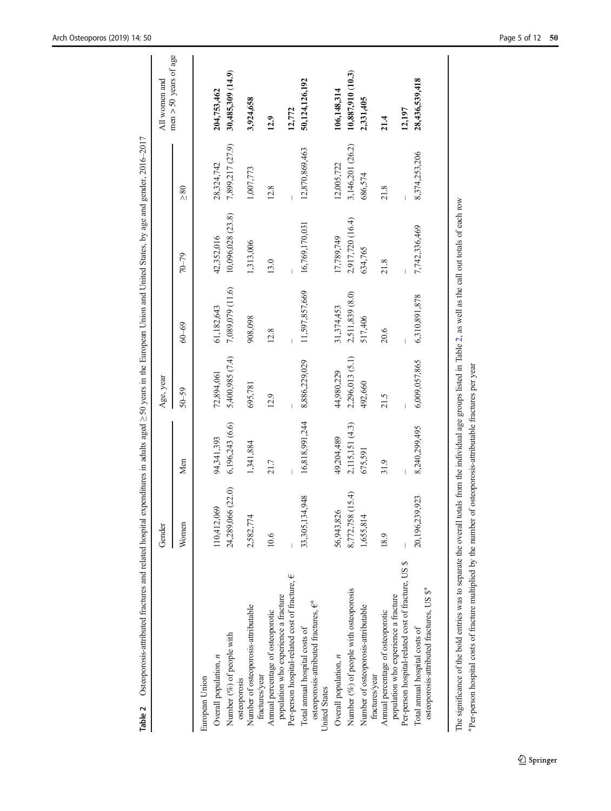<span id="page-4-0"></span>

|                                                                                             | Gender              |                 | Age, year       |                  |                   |                  | All women and           |
|---------------------------------------------------------------------------------------------|---------------------|-----------------|-----------------|------------------|-------------------|------------------|-------------------------|
|                                                                                             | Women               | Men             | $50 - 59$       | $60 - 69$        | $70 - 79$         | $\geq 80$        | $men > 50$ years of age |
| European Union                                                                              |                     |                 |                 |                  |                   |                  |                         |
| Overall population, n                                                                       | 110,412,069         | 94,341,393      | 72,894,061      | 61,182,643       | 42,352,016        | 28,324,742       | 204,753,462             |
| Number (%) of people with<br>osteoporosis                                                   | 24,289,066 (22.0)   | 6,196,243(6.6)  | 5,400,985 (7.4) | 7,089,079 (11.6) | 10,096,028 (23.8) | 7,899,217 (27.9) | 30,485,309 (14.9)       |
| Number of osteoporosis-attributable<br>fractures/year                                       | 2,582,774           | 1,341,884       | 695,781         | 908,098          | 1,313,006         | 1,007,773        | 3,924,658               |
| population who experience a fracture<br>Annual percentage of osteoporotic                   | 10.6                | 21.7            | 12.9            | 12.8             | 13.0              | 12.8             | 12.9                    |
| Per-person hospital-related cost of fracture, $\epsilon$                                    |                     |                 |                 |                  |                   |                  | 12,772                  |
| osteoporosis-attributed fractures, $e^a$<br>Total annual hospital costs of<br>United States | 1,948<br>33,305,134 | 16,818,991,244  | 8,886,229,029   | 11,597,857,669   | 16,769,170,031    | 12,870,869,463   | 50,124,126,192          |
| Overall population, n                                                                       | 56,943,826          | 49,204,489      | 44,980,229      | 31,374,453       | 17,789,749        | 12,005,722       | 106,148,314             |
| Number (%) of people with osteoporosis                                                      | (15.4)<br>8,772,758 | 2,115,151 (4.3) | 2,296,013 (5.1) | 2,511,839 (8.0)  | 2,917,720 (16.4)  | 3,146,201 (26.2) | 10,887,910 (10.3)       |
| Number of osteoporosis-attributable<br>fractures/year                                       | 1,655,814           | 675,591         | 492,660         | 517,406          | 634,765           | 686,574          | 2,331,405               |
| Annual percentage of osteoporotic                                                           | 18.9                | 31.9            | 21.5            | 20.6             | 21.8              | 21.8             | 21.4                    |
| Per-person hospital-related cost of fracture, US \$<br>population who experience a fracture |                     |                 |                 |                  |                   |                  | 12,197                  |
| osteoporosis-attributed fractures, US \$ª<br>Total annual hospital costs of                 | 9,923<br>20,196,239 | 8,240,299,495   | 6,009,057,865   | 6,310,891,878    | 7,742,336,469     | 8,374,253,206    | 28,436,539,418          |

The significance of the bold entries was to separate the overall totals from the individual age groups listed in Table 2, as well as the call out totals of each row The significance of the bold entries was to separate the overall totals from the individual age groups listed in Table 2, as well as the call out totals of each row <sup>a</sup> Per-person hospital costs of fracture multiplied by t Per-person hospital costs of fracture multiplied by the number of osteoporosis-attributable fractures per year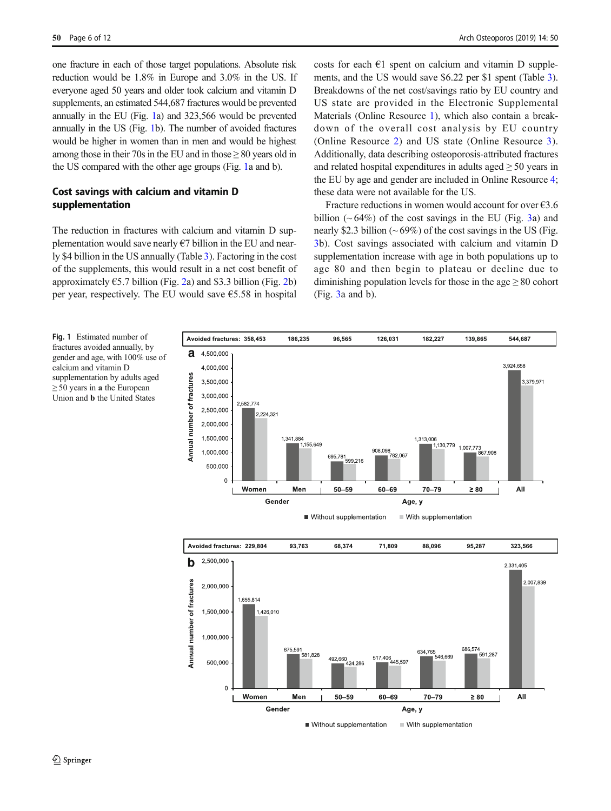one fracture in each of those target populations. Absolute risk reduction would be 1.8% in Europe and 3.0% in the US. If everyone aged 50 years and older took calcium and vitamin D supplements, an estimated 544,687 fractures would be prevented annually in the EU (Fig. 1a) and 323,566 would be prevented annually in the US (Fig. 1b). The number of avoided fractures would be higher in women than in men and would be highest among those in their 70s in the EU and in those  $\geq 80$  years old in the US compared with the other age groups (Fig. 1a and b).

# Cost savings with calcium and vitamin D supplementation

The reduction in fractures with calcium and vitamin D supplementation would save nearly  $\epsilon$ 7 billion in the EU and nearly \$4 billion in the US annually (Table [3\)](#page-6-0). Factoring in the cost of the supplements, this would result in a net cost benefit of approximately  $\epsilon$ 5.7 billion (Fig. [2a](#page-6-0)) and \$3.3 billion (Fig. [2](#page-6-0)b) per year, respectively. The EU would save  $65.58$  in hospital costs for each  $\epsilon$ 1 spent on calcium and vitamin D supplements, and the US would save \$6.22 per \$1 spent (Table [3\)](#page-6-0). Breakdowns of the net cost/savings ratio by EU country and US state are provided in the Electronic Supplemental Materials (Online Resource 1), which also contain a breakdown of the overall cost analysis by EU country (Online Resource 2) and US state (Online Resource 3). Additionally, data describing osteoporosis-attributed fractures and related hospital expenditures in adults aged  $\geq$  50 years in the EU by age and gender are included in Online Resource 4; these data were not available for the US.

Fracture reductions in women would account for over  $\epsilon$ 3.6 billion  $(~64\%)$  of the cost savings in the EU (Fig. [3](#page-7-0)a) and nearly \$2.3 billion ( $\sim$  69%) of the cost savings in the US (Fig. [3](#page-7-0)b). Cost savings associated with calcium and vitamin D supplementation increase with age in both populations up to age 80 and then begin to plateau or decline due to diminishing population levels for those in the age  $\geq 80$  cohort (Fig. [3](#page-7-0)a and b).

Fig. 1 Estimated number of fractures avoided annually, by gender and age, with 100% use of calcium and vitamin D supplementation by adults aged  $\geq$  50 years in **a** the European Union and b the United States



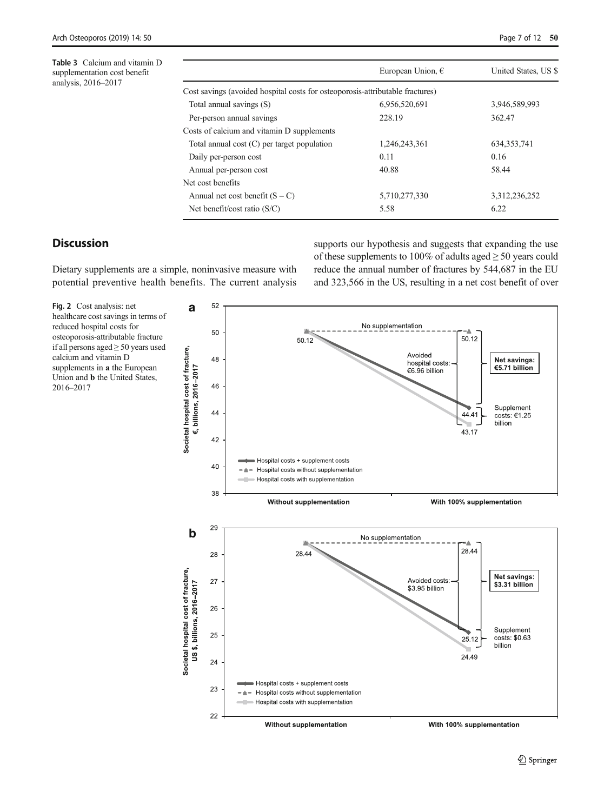<span id="page-6-0"></span>Table 3 Calcium and vitamin D supplementation cost benefit analysis, 2016–2017

|                                                                               | European Union, $\epsilon$ | United States, US \$ |
|-------------------------------------------------------------------------------|----------------------------|----------------------|
| Cost savings (avoided hospital costs for osteoporosis-attributable fractures) |                            |                      |
| Total annual savings (S)                                                      | 6.956.520.691              | 3.946.589.993        |
| Per-person annual savings                                                     | 228.19                     | 362.47               |
| Costs of calcium and vitamin D supplements                                    |                            |                      |
| Total annual cost $(C)$ per target population                                 | 1.246.243.361              | 634.353.741          |
| Daily per-person cost                                                         | 0.11                       | 0.16                 |
| Annual per-person cost                                                        | 40.88                      | 58.44                |
| Net cost benefits                                                             |                            |                      |
| Annual net cost benefit $(S - C)$                                             | 5,710,277,330              | 3,312,236,252        |
| Net benefit/cost ratio $(S/C)$                                                | 5.58                       | 6.22                 |

# **Discussion**

Dietary supplements are a simple, noninvasive measure with potential preventive health benefits. The current analysis supports our hypothesis and suggests that expanding the use of these supplements to 100% of adults aged  $\geq$  50 years could reduce the annual number of fractures by 544,687 in the EU and 323,566 in the US, resulting in a net cost benefit of over

Fig. 2 Cost analysis: net healthcare cost savings in terms of reduced hospital costs for osteoporosis-attributable fracture if all persons aged ≥ 50 years used calcium and vitamin D supplements in a the European Union and b the United States, 2016–2017

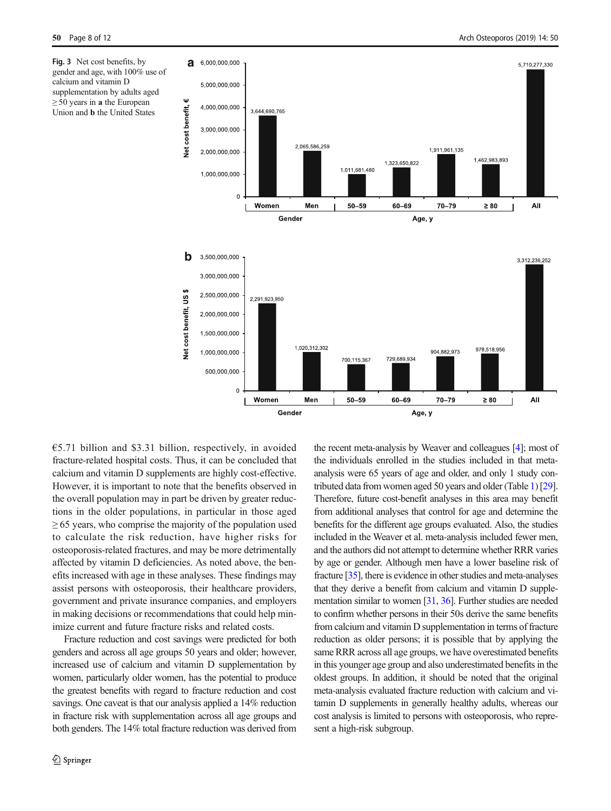<span id="page-7-0"></span>Fig. 3 Net cost benefits, by gender and age, with 100% use of calcium and vitamin D supplementation by adults aged  $\geq$  50 years in **a** the European Union and b the United States



€5.71 billion and \$3.31 billion, respectively, in avoided fracture-related hospital costs. Thus, it can be concluded that calcium and vitamin D supplements are highly cost-effective. However, it is important to note that the benefits observed in the overall population may in part be driven by greater reductions in the older populations, in particular in those aged  $\geq$  65 years, who comprise the majority of the population used to calculate the risk reduction, have higher risks for osteoporosis-related fractures, and may be more detrimentally affected by vitamin D deficiencies. As noted above, the benefits increased with age in these analyses. These findings may assist persons with osteoporosis, their healthcare providers, government and private insurance companies, and employers in making decisions or recommendations that could help minimize current and future fracture risks and related costs.

Fracture reduction and cost savings were predicted for both genders and across all age groups 50 years and older; however, increased use of calcium and vitamin D supplementation by women, particularly older women, has the potential to produce the greatest benefits with regard to fracture reduction and cost savings. One caveat is that our analysis applied a 14% reduction in fracture risk with supplementation across all age groups and both genders. The 14% total fracture reduction was derived from the recent meta-analysis by Weaver and colleagues [[4](#page-10-0)]; most of the individuals enrolled in the studies included in that metaanalysis were 65 years of age and older, and only 1 study contributed data from women aged 50 years and older (Table [1\)](#page-3-0) [\[29\]](#page-11-0). Therefore, future cost-benefit analyses in this area may benefit from additional analyses that control for age and determine the benefits for the different age groups evaluated. Also, the studies included in the Weaver et al. meta-analysis included fewer men, and the authors did not attempt to determine whether RRR varies by age or gender. Although men have a lower baseline risk of fracture [\[35\]](#page-11-0), there is evidence in other studies and meta-analyses that they derive a benefit from calcium and vitamin D supplementation similar to women [\[31](#page-11-0), [36](#page-11-0)]. Further studies are needed to confirm whether persons in their 50s derive the same benefits from calcium and vitamin D supplementation in terms of fracture reduction as older persons; it is possible that by applying the same RRR across all age groups, we have overestimated benefits in this younger age group and also underestimated benefits in the oldest groups. In addition, it should be noted that the original meta-analysis evaluated fracture reduction with calcium and vitamin D supplements in generally healthy adults, whereas our cost analysis is limited to persons with osteoporosis, who represent a high-risk subgroup.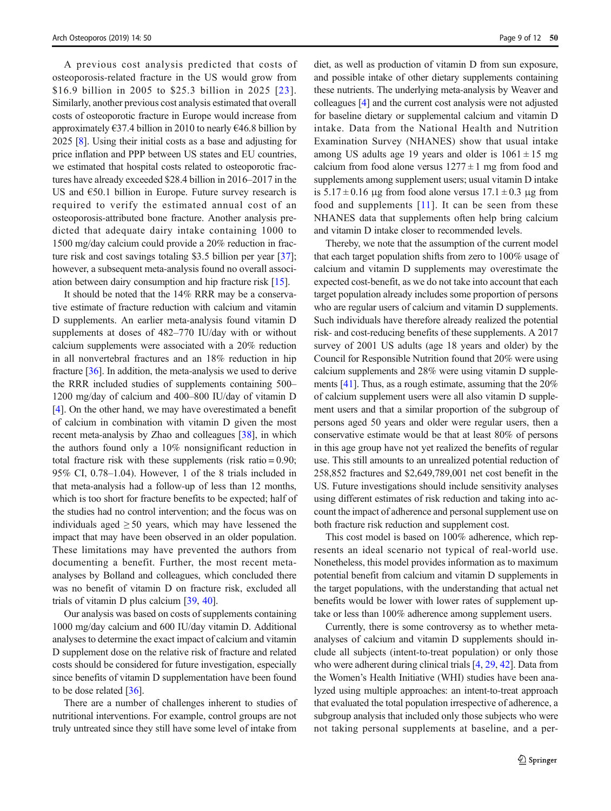A previous cost analysis predicted that costs of osteoporosis-related fracture in the US would grow from \$16.9 billion in 2005 to \$25.3 billion in 2025 [[23\]](#page-10-0). Similarly, another previous cost analysis estimated that overall costs of osteoporotic fracture in Europe would increase from approximately  $637.4$  billion in 2010 to nearly  $646.8$  billion by 2025 [[8\]](#page-10-0). Using their initial costs as a base and adjusting for price inflation and PPP between US states and EU countries, we estimated that hospital costs related to osteoporotic fractures have already exceeded \$28.4 billion in 2016–2017 in the US and  $650.1$  billion in Europe. Future survey research is required to verify the estimated annual cost of an osteoporosis-attributed bone fracture. Another analysis predicted that adequate dairy intake containing 1000 to 1500 mg/day calcium could provide a 20% reduction in fracture risk and cost savings totaling \$3.5 billion per year [[37](#page-11-0)]; however, a subsequent meta-analysis found no overall association between dairy consumption and hip fracture risk [[15](#page-10-0)].

It should be noted that the 14% RRR may be a conservative estimate of fracture reduction with calcium and vitamin D supplements. An earlier meta-analysis found vitamin D supplements at doses of 482–770 IU/day with or without calcium supplements were associated with a 20% reduction in all nonvertebral fractures and an 18% reduction in hip fracture [\[36](#page-11-0)]. In addition, the meta-analysis we used to derive the RRR included studies of supplements containing 500– 1200 mg/day of calcium and 400–800 IU/day of vitamin D [\[4](#page-10-0)]. On the other hand, we may have overestimated a benefit of calcium in combination with vitamin D given the most recent meta-analysis by Zhao and colleagues [[38](#page-11-0)], in which the authors found only a 10% nonsignificant reduction in total fracture risk with these supplements (risk ratio  $= 0.90$ ; 95% CI, 0.78–1.04). However, 1 of the 8 trials included in that meta-analysis had a follow-up of less than 12 months, which is too short for fracture benefits to be expected; half of the studies had no control intervention; and the focus was on individuals aged  $\geq 50$  years, which may have lessened the impact that may have been observed in an older population. These limitations may have prevented the authors from documenting a benefit. Further, the most recent metaanalyses by Bolland and colleagues, which concluded there was no benefit of vitamin D on fracture risk, excluded all trials of vitamin D plus calcium [\[39](#page-11-0), [40](#page-11-0)].

Our analysis was based on costs of supplements containing 1000 mg/day calcium and 600 IU/day vitamin D. Additional analyses to determine the exact impact of calcium and vitamin D supplement dose on the relative risk of fracture and related costs should be considered for future investigation, especially since benefits of vitamin D supplementation have been found to be dose related [\[36](#page-11-0)].

There are a number of challenges inherent to studies of nutritional interventions. For example, control groups are not truly untreated since they still have some level of intake from

diet, as well as production of vitamin D from sun exposure, and possible intake of other dietary supplements containing these nutrients. The underlying meta-analysis by Weaver and colleagues [[4](#page-10-0)] and the current cost analysis were not adjusted for baseline dietary or supplemental calcium and vitamin D intake. Data from the National Health and Nutrition Examination Survey (NHANES) show that usual intake among US adults age 19 years and older is  $1061 \pm 15$  mg calcium from food alone versus  $1277 \pm 1$  mg from food and supplements among supplement users; usual vitamin D intake is  $5.17 \pm 0.16$  μg from food alone versus  $17.1 \pm 0.3$  μg from food and supplements  $[11]$  $[11]$ . It can be seen from these NHANES data that supplements often help bring calcium and vitamin D intake closer to recommended levels.

Thereby, we note that the assumption of the current model that each target population shifts from zero to 100% usage of calcium and vitamin D supplements may overestimate the expected cost-benefit, as we do not take into account that each target population already includes some proportion of persons who are regular users of calcium and vitamin D supplements. Such individuals have therefore already realized the potential risk- and cost-reducing benefits of these supplements. A 2017 survey of 2001 US adults (age 18 years and older) by the Council for Responsible Nutrition found that 20% were using calcium supplements and 28% were using vitamin D supplements [[41\]](#page-11-0). Thus, as a rough estimate, assuming that the 20% of calcium supplement users were all also vitamin D supplement users and that a similar proportion of the subgroup of persons aged 50 years and older were regular users, then a conservative estimate would be that at least 80% of persons in this age group have not yet realized the benefits of regular use. This still amounts to an unrealized potential reduction of 258,852 fractures and \$2,649,789,001 net cost benefit in the US. Future investigations should include sensitivity analyses using different estimates of risk reduction and taking into account the impact of adherence and personal supplement use on both fracture risk reduction and supplement cost.

This cost model is based on 100% adherence, which represents an ideal scenario not typical of real-world use. Nonetheless, this model provides information as to maximum potential benefit from calcium and vitamin D supplements in the target populations, with the understanding that actual net benefits would be lower with lower rates of supplement uptake or less than 100% adherence among supplement users.

Currently, there is some controversy as to whether metaanalyses of calcium and vitamin D supplements should include all subjects (intent-to-treat population) or only those who were adherent during clinical trials [[4,](#page-10-0) [29,](#page-11-0) [42](#page-11-0)]. Data from the Women's Health Initiative (WHI) studies have been analyzed using multiple approaches: an intent-to-treat approach that evaluated the total population irrespective of adherence, a subgroup analysis that included only those subjects who were not taking personal supplements at baseline, and a per-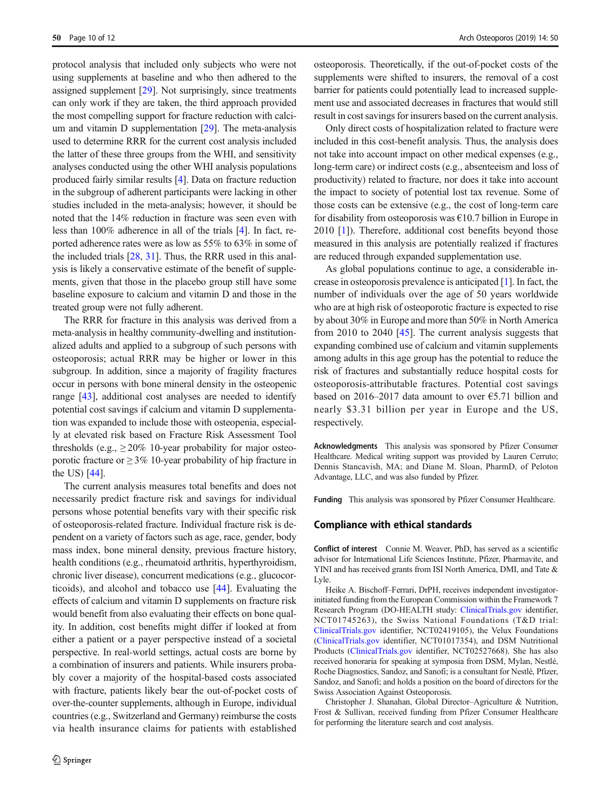protocol analysis that included only subjects who were not using supplements at baseline and who then adhered to the assigned supplement [[29](#page-11-0)]. Not surprisingly, since treatments can only work if they are taken, the third approach provided the most compelling support for fracture reduction with calcium and vitamin D supplementation [[29\]](#page-11-0). The meta-analysis used to determine RRR for the current cost analysis included the latter of these three groups from the WHI, and sensitivity analyses conducted using the other WHI analysis populations produced fairly similar results [\[4](#page-10-0)]. Data on fracture reduction in the subgroup of adherent participants were lacking in other studies included in the meta-analysis; however, it should be noted that the 14% reduction in fracture was seen even with less than 100% adherence in all of the trials [\[4](#page-10-0)]. In fact, reported adherence rates were as low as 55% to 63% in some of the included trials [[28,](#page-11-0) [31\]](#page-11-0). Thus, the RRR used in this analysis is likely a conservative estimate of the benefit of supplements, given that those in the placebo group still have some baseline exposure to calcium and vitamin D and those in the treated group were not fully adherent.

The RRR for fracture in this analysis was derived from a meta-analysis in healthy community-dwelling and institutionalized adults and applied to a subgroup of such persons with osteoporosis; actual RRR may be higher or lower in this subgroup. In addition, since a majority of fragility fractures occur in persons with bone mineral density in the osteopenic range [[43\]](#page-11-0), additional cost analyses are needed to identify potential cost savings if calcium and vitamin D supplementation was expanded to include those with osteopenia, especially at elevated risk based on Fracture Risk Assessment Tool thresholds (e.g.,  $\geq 20\%$  10-year probability for major osteoporotic fracture or  $\geq$  3% 10-year probability of hip fracture in the US) [\[44](#page-11-0)].

The current analysis measures total benefits and does not necessarily predict fracture risk and savings for individual persons whose potential benefits vary with their specific risk of osteoporosis-related fracture. Individual fracture risk is dependent on a variety of factors such as age, race, gender, body mass index, bone mineral density, previous fracture history, health conditions (e.g., rheumatoid arthritis, hyperthyroidism, chronic liver disease), concurrent medications (e.g., glucocorticoids), and alcohol and tobacco use [[44\]](#page-11-0). Evaluating the effects of calcium and vitamin D supplements on fracture risk would benefit from also evaluating their effects on bone quality. In addition, cost benefits might differ if looked at from either a patient or a payer perspective instead of a societal perspective. In real-world settings, actual costs are borne by a combination of insurers and patients. While insurers probably cover a majority of the hospital-based costs associated with fracture, patients likely bear the out-of-pocket costs of over-the-counter supplements, although in Europe, individual countries (e.g., Switzerland and Germany) reimburse the costs via health insurance claims for patients with established

osteoporosis. Theoretically, if the out-of-pocket costs of the supplements were shifted to insurers, the removal of a cost barrier for patients could potentially lead to increased supplement use and associated decreases in fractures that would still result in cost savings for insurers based on the current analysis.

Only direct costs of hospitalization related to fracture were included in this cost-benefit analysis. Thus, the analysis does not take into account impact on other medical expenses (e.g., long-term care) or indirect costs (e.g., absenteeism and loss of productivity) related to fracture, nor does it take into account the impact to society of potential lost tax revenue. Some of those costs can be extensive (e.g., the cost of long-term care for disability from osteoporosis was  $\epsilon$ 10.7 billion in Europe in 2010 [[1\]](#page-10-0)). Therefore, additional cost benefits beyond those measured in this analysis are potentially realized if fractures are reduced through expanded supplementation use.

As global populations continue to age, a considerable increase in osteoporosis prevalence is anticipated [\[1](#page-10-0)]. In fact, the number of individuals over the age of 50 years worldwide who are at high risk of osteoporotic fracture is expected to rise by about 30% in Europe and more than 50% in North America from 2010 to 2040 [[45](#page-11-0)]. The current analysis suggests that expanding combined use of calcium and vitamin supplements among adults in this age group has the potential to reduce the risk of fractures and substantially reduce hospital costs for osteoporosis-attributable fractures. Potential cost savings based on 2016–2017 data amount to over €5.71 billion and nearly \$3.31 billion per year in Europe and the US, respectively.

Acknowledgments This analysis was sponsored by Pfizer Consumer Healthcare. Medical writing support was provided by Lauren Cerruto; Dennis Stancavish, MA; and Diane M. Sloan, PharmD, of Peloton Advantage, LLC, and was also funded by Pfizer.

Funding This analysis was sponsored by Pfizer Consumer Healthcare.

## Compliance with ethical standards

Conflict of interest Connie M. Weaver, PhD, has served as a scientific advisor for International Life Sciences Institute, Pfizer, Pharmavite, and YINI and has received grants from ISI North America, DMI, and Tate & Lyle.

Heike A. Bischoff–Ferrari, DrPH, receives independent investigatorinitiated funding from the European Commission within the Framework 7 Research Program (DO-HEALTH study: [ClinicalTrials.gov](http://clinicaltrials.gov) identifier, NCT01745263), the Swiss National Foundations (T&D trial: [ClinicalTrials.gov](http://clinicaltrials.gov) identifier, NCT02419105), the Velux Foundations ([ClinicalTrials.gov](http://clinicaltrials.gov) identifier, NCT01017354), and DSM Nutritional Products ([ClinicalTrials.gov](http://clinicaltrials.gov) identifier, NCT02527668). She has also received honoraria for speaking at symposia from DSM, Mylan, Nestlé, Roche Diagnostics, Sandoz, and Sanofi; is a consultant for Nestlé, Pfizer, Sandoz, and Sanofi; and holds a position on the board of directors for the Swiss Association Against Osteoporosis.

Christopher J. Shanahan, Global Director–Agriculture & Nutrition, Frost & Sullivan, received funding from Pfizer Consumer Healthcare for performing the literature search and cost analysis.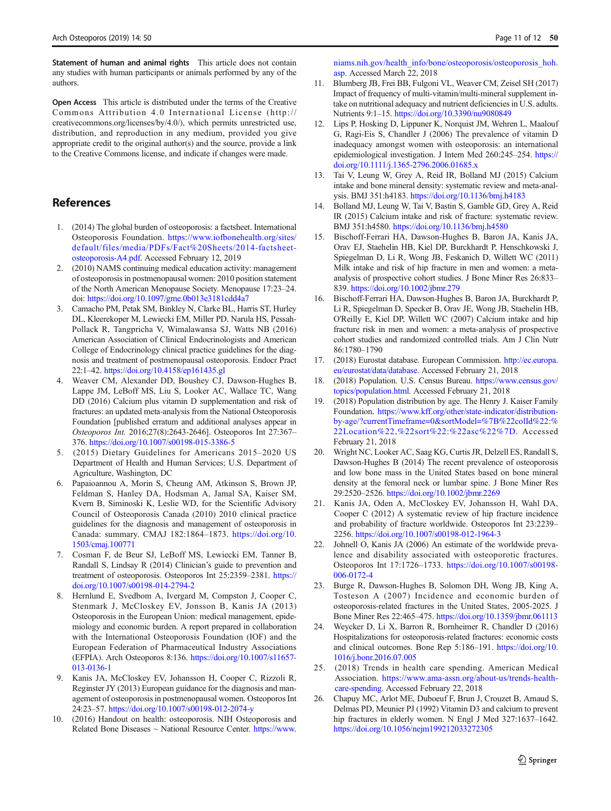<span id="page-10-0"></span>Statement of human and animal rights This article does not contain any studies with human participants or animals performed by any of the authors.

Open Access This article is distributed under the terms of the Creative Commons Attribution 4.0 International License (http:// creativecommons.org/licenses/by/4.0/), which permits unrestricted use, distribution, and reproduction in any medium, provided you give appropriate credit to the original author(s) and the source, provide a link to the Creative Commons license, and indicate if changes were made.

# References

- 1. (2014) The global burden of osteoporosis: a factsheet. International Osteoporosis Foundation. [https://www.iofbonehealth.org/sites/](https://www.iofbonehealth.org/sites/default/files/media/PDFs/Fact%20Sheets/2014-factsheet-osteoporosis-A4.pdf) [default/files/media/PDFs/Fact%20Sheets/2014-factsheet](https://www.iofbonehealth.org/sites/default/files/media/PDFs/Fact%20Sheets/2014-factsheet-osteoporosis-A4.pdf)[osteoporosis-A4.pdf.](https://www.iofbonehealth.org/sites/default/files/media/PDFs/Fact%20Sheets/2014-factsheet-osteoporosis-A4.pdf) Accessed February 12, 2019
- 2. (2010) NAMS continuing medical education activity: management of osteoporosis in postmenopausal women: 2010 position statement of the North American Menopause Society. Menopause 17:23–24. doi: <https://doi.org/10.1097/gme.0b013e3181cdd4a7>
- 3. Camacho PM, Petak SM, Binkley N, Clarke BL, Harris ST, Hurley DL, Kleerekoper M, Lewiecki EM, Miller PD, Narula HS, Pessah-Pollack R, Tangpricha V, Wimalawansa SJ, Watts NB (2016) American Association of Clinical Endocrinologists and American College of Endocrinology clinical practice guidelines for the diagnosis and treatment of postmenopausal osteoporosis. Endocr Pract 22:1–42. <https://doi.org/10.4158/ep161435.gl>
- 4. Weaver CM, Alexander DD, Boushey CJ, Dawson-Hughes B, Lappe JM, LeBoff MS, Liu S, Looker AC, Wallace TC, Wang DD (2016) Calcium plus vitamin D supplementation and risk of fractures: an updated meta-analysis from the National Osteoporosis Foundation [published erratum and additional analyses appear in Osteoporos Int. 2016;27(8):2643-2646]. Osteoporos Int 27:367– 376. <https://doi.org/10.1007/s00198-015-3386-5>
- 5. (2015) Dietary Guidelines for Americans 2015–2020 US Department of Health and Human Services; U.S. Department of Agriculture, Washington, DC
- 6. Papaioannou A, Morin S, Cheung AM, Atkinson S, Brown JP, Feldman S, Hanley DA, Hodsman A, Jamal SA, Kaiser SM, Kvern B, Siminoski K, Leslie WD, for the Scientific Advisory Council of Osteoporosis Canada (2010) 2010 clinical practice guidelines for the diagnosis and management of osteoporosis in Canada: summary. CMAJ 182:1864–1873. [https://doi.org/10.](https://doi.org/10.1503/cmaj.100771) [1503/cmaj.100771](https://doi.org/10.1503/cmaj.100771)
- 7. Cosman F, de Beur SJ, LeBoff MS, Lewiecki EM, Tanner B, Randall S, Lindsay R (2014) Clinician's guide to prevention and treatment of osteoporosis. Osteoporos Int 25:2359–2381. [https://](https://doi.org/10.1007/s00198-014-2794-2) [doi.org/10.1007/s00198-014-2794-2](https://doi.org/10.1007/s00198-014-2794-2)
- 8. Hernlund E, Svedbom A, Ivergard M, Compston J, Cooper C, Stenmark J, McCloskey EV, Jonsson B, Kanis JA (2013) Osteoporosis in the European Union: medical management, epidemiology and economic burden. A report prepared in collaboration with the International Osteoporosis Foundation (IOF) and the European Federation of Pharmaceutical Industry Associations (EFPIA). Arch Osteoporos 8:136. [https://doi.org/10.1007/s11657-](https://doi.org/10.1007/s11657-013-0136-1) [013-0136-1](https://doi.org/10.1007/s11657-013-0136-1)
- 9. Kanis JA, McCloskey EV, Johansson H, Cooper C, Rizzoli R, Reginster JY (2013) European guidance for the diagnosis and management of osteoporosis in postmenopausal women. Osteoporos Int 24:23–57. <https://doi.org/10.1007/s00198-012-2074-y>
- 10. (2016) Handout on health: osteoporosis. NIH Osteoporosis and Related Bone Diseases ~ National Resource Center. [https://www.](https://www.niams.nih.gov/health_info/bone/osteoporosis/osteoporosis_hoh.asp)

[niams.nih.gov/health\\_info/bone/osteoporosis/osteoporosis\\_hoh.](https://www.niams.nih.gov/health_info/bone/osteoporosis/osteoporosis_hoh.asp) [asp](https://www.niams.nih.gov/health_info/bone/osteoporosis/osteoporosis_hoh.asp). Accessed March 22, 2018

- 11. Blumberg JB, Frei BB, Fulgoni VL, Weaver CM, Zeisel SH (2017) Impact of frequency of multi-vitamin/multi-mineral supplement intake on nutritional adequacy and nutrient deficiencies in U.S. adults. Nutrients 9:1–15. <https://doi.org/10.3390/nu9080849>
- 12. Lips P, Hosking D, Lippuner K, Norquist JM, Wehren L, Maalouf G, Ragi-Eis S, Chandler J (2006) The prevalence of vitamin D inadequacy amongst women with osteoporosis: an international epidemiological investigation. J Intern Med 260:245–254. [https://](https://doi.org/10.1111/j.1365-2796.2006.01685.x) [doi.org/10.1111/j.1365-2796.2006.01685.x](https://doi.org/10.1111/j.1365-2796.2006.01685.x)
- 13. Tai V, Leung W, Grey A, Reid IR, Bolland MJ (2015) Calcium intake and bone mineral density: systematic review and meta-analysis. BMJ 351:h4183. <https://doi.org/10.1136/bmj.h4183>
- 14. Bolland MJ, Leung W, Tai V, Bastin S, Gamble GD, Grey A, Reid IR (2015) Calcium intake and risk of fracture: systematic review. BMJ 351:h4580. <https://doi.org/10.1136/bmj.h4580>
- 15. Bischoff-Ferrari HA, Dawson-Hughes B, Baron JA, Kanis JA, Orav EJ, Staehelin HB, Kiel DP, Burckhardt P, Henschkowski J, Spiegelman D, Li R, Wong JB, Feskanich D, Willett WC (2011) Milk intake and risk of hip fracture in men and women: a metaanalysis of prospective cohort studies. J Bone Miner Res 26:833– 839. <https://doi.org/10.1002/jbmr.279>
- 16. Bischoff-Ferrari HA, Dawson-Hughes B, Baron JA, Burckhardt P, Li R, Spiegelman D, Specker B, Orav JE, Wong JB, Staehelin HB, O'Reilly E, Kiel DP, Willett WC (2007) Calcium intake and hip fracture risk in men and women: a meta-analysis of prospective cohort studies and randomized controlled trials. Am J Clin Nutr 86:1780–1790
- 17. (2018) Eurostat database. European Commission. [http://ec.europa.](http://ec.europa.eu/eurostat/data/database) [eu/eurostat/data/database.](http://ec.europa.eu/eurostat/data/database) Accessed February 21, 2018
- 18. (2018) Population. U.S. Census Bureau. [https://www.census.gov/](https://www.census.gov/topics/population.html) [topics/population.html.](https://www.census.gov/topics/population.html) Accessed February 21, 2018
- 19. (2018) Population distribution by age. The Henry J. Kaiser Family Foundation. [https://www.kff.org/other/state-indicator/distribution](https://www.kff.org/other/state-indicator/distribution-by-age/?currentTimeframe=0&sortModel=%7B%22colId%22:%22Location%22,%22sort%22:%22asc%22%7D)[by-age/?currentTimeframe=0&sortModel=%7B%22colId%22:%](https://www.kff.org/other/state-indicator/distribution-by-age/?currentTimeframe=0&sortModel=%7B%22colId%22:%22Location%22,%22sort%22:%22asc%22%7D) [22Location%22,%22sort%22:%22asc%22%7D.](https://www.kff.org/other/state-indicator/distribution-by-age/?currentTimeframe=0&sortModel=%7B%22colId%22:%22Location%22,%22sort%22:%22asc%22%7D) Accessed February 21, 2018
- 20. Wright NC, Looker AC, Saag KG, Curtis JR, Delzell ES, Randall S, Dawson-Hughes B (2014) The recent prevalence of osteoporosis and low bone mass in the United States based on bone mineral density at the femoral neck or lumbar spine. J Bone Miner Res 29:2520–2526. <https://doi.org/10.1002/jbmr.2269>
- 21. Kanis JA, Oden A, McCloskey EV, Johansson H, Wahl DA, Cooper C (2012) A systematic review of hip fracture incidence and probability of fracture worldwide. Osteoporos Int 23:2239– 2256. <https://doi.org/10.1007/s00198-012-1964-3>
- 22. Johnell O, Kanis JA (2006) An estimate of the worldwide prevalence and disability associated with osteoporotic fractures. Osteoporos Int 17:1726–1733. [https://doi.org/10.1007/s00198-](https://doi.org/10.1007/s00198-006-0172-4) [006-0172-4](https://doi.org/10.1007/s00198-006-0172-4)
- 23. Burge R, Dawson-Hughes B, Solomon DH, Wong JB, King A, Tosteson A (2007) Incidence and economic burden of osteoporosis-related fractures in the United States, 2005-2025. J Bone Miner Res 22:465–475. <https://doi.org/10.1359/jbmr.061113>
- 24. Weycker D, Li X, Barron R, Bornheimer R, Chandler D (2016) Hospitalizations for osteoporosis-related fractures: economic costs and clinical outcomes. Bone Rep 5:186–191. [https://doi.org/10.](https://doi.org/10.1016/j.bonr.2016.07.005) [1016/j.bonr.2016.07.005](https://doi.org/10.1016/j.bonr.2016.07.005)
- 25. (2018) Trends in health care spending. American Medical Association. [https://www.ama-assn.org/about-us/trends-health](https://www.ama-assn.org/about-us/trends-health-care-spending)[care-spending](https://www.ama-assn.org/about-us/trends-health-care-spending). Accessed February 22, 2018
- 26. Chapuy MC, Arlot ME, Duboeuf F, Brun J, Crouzet B, Arnaud S, Delmas PD, Meunier PJ (1992) Vitamin D3 and calcium to prevent hip fractures in elderly women. N Engl J Med 327:1637–1642. <https://doi.org/10.1056/nejm199212033272305>